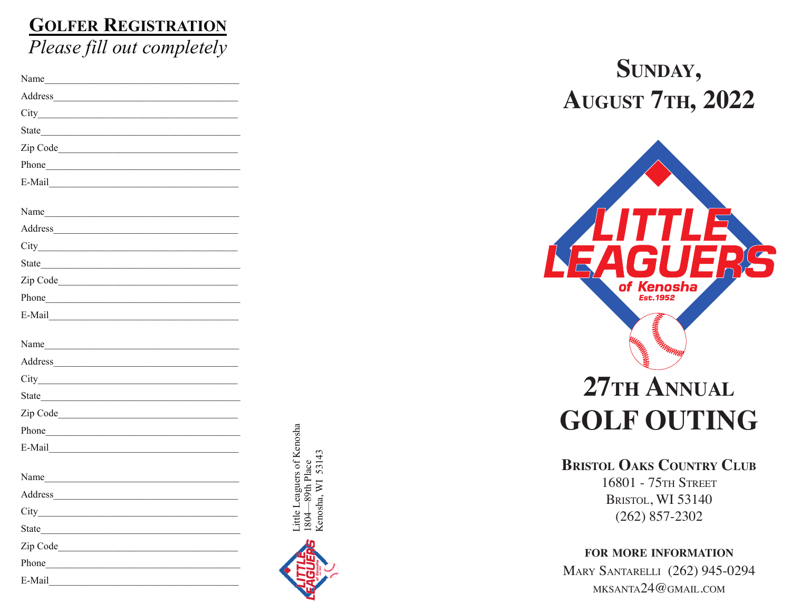# **GOLFER REGISTRATION** *Please fill out completely*

| Name                                                                                                                                                                                                                           |  |
|--------------------------------------------------------------------------------------------------------------------------------------------------------------------------------------------------------------------------------|--|
| Address                                                                                                                                                                                                                        |  |
|                                                                                                                                                                                                                                |  |
| State has a state of the state of the state of the state of the state of the state of the state of the state of the state of the state of the state of the state of the state of the state of the state of the state of the st |  |
| Zip Code                                                                                                                                                                                                                       |  |
| Phone has a series of the series of the series of the series of the series of the series of the series of the series of the series of the series of the series of the series of the series of the series of the series of the  |  |
| $E-Mail$                                                                                                                                                                                                                       |  |
| Name                                                                                                                                                                                                                           |  |
|                                                                                                                                                                                                                                |  |
|                                                                                                                                                                                                                                |  |
| State <b>Example 2018</b>                                                                                                                                                                                                      |  |
|                                                                                                                                                                                                                                |  |
|                                                                                                                                                                                                                                |  |
|                                                                                                                                                                                                                                |  |
| Name et al. 2008. The contract of the contract of the contract of the contract of the contract of the contract of the contract of the contract of the contract of the contract of the contract of the contract of the contract |  |
|                                                                                                                                                                                                                                |  |
|                                                                                                                                                                                                                                |  |
|                                                                                                                                                                                                                                |  |
|                                                                                                                                                                                                                                |  |
|                                                                                                                                                                                                                                |  |
| $E-Mail$                                                                                                                                                                                                                       |  |
| Name                                                                                                                                                                                                                           |  |
| Address                                                                                                                                                                                                                        |  |
|                                                                                                                                                                                                                                |  |
| State has a state of the state of the state of the state of the state of the state of the state of the state of the state of the state of the state of the state of the state of the state of the state of the state of the st |  |
|                                                                                                                                                                                                                                |  |
| Phone                                                                                                                                                                                                                          |  |
| E-Mail                                                                                                                                                                                                                         |  |

Little Leaguers of Kenosha

ittle Leaguers of Kenosha

1804—89th Place Kenosha, WI 53143

1804—89th Place<br>Kenosha, WI 53143

# **AUGUST 7TH, 2022**



# **27th Annual GOLF OUTIN**

#### **BRISTOL OAKS COUNTRY CLUB o b**

16801 75th STREET 16801 - 75th Street Bristol, WI 53140 (262) 857-2302

#### **FOR OR MORE INFORMATION** FOR MORE INFORMATION **i**

**fo**

MARY SANTARELLI (262) 945-0294 mk santa24@gmail .com